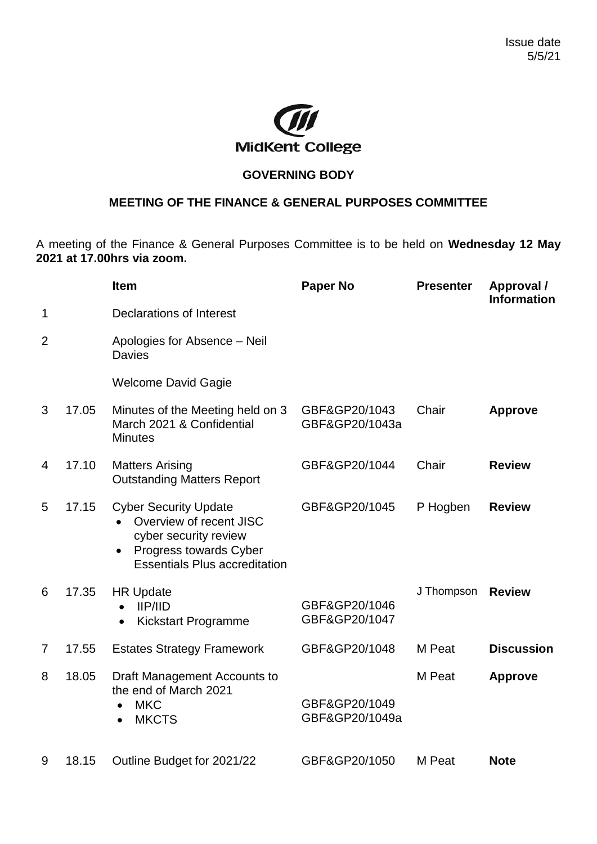

## **GOVERNING BODY**

## **MEETING OF THE FINANCE & GENERAL PURPOSES COMMITTEE**

A meeting of the Finance & General Purposes Committee is to be held on **Wednesday 12 May 2021 at 17.00hrs via zoom.**

|                |       | <b>Item</b>                                                                                                                                                     | <b>Paper No</b>                 | <b>Presenter</b> | Approval /<br>Information |
|----------------|-------|-----------------------------------------------------------------------------------------------------------------------------------------------------------------|---------------------------------|------------------|---------------------------|
| 1              |       | <b>Declarations of Interest</b>                                                                                                                                 |                                 |                  |                           |
| $\overline{2}$ |       | Apologies for Absence - Neil<br><b>Davies</b>                                                                                                                   |                                 |                  |                           |
|                |       | <b>Welcome David Gagie</b>                                                                                                                                      |                                 |                  |                           |
| 3              | 17.05 | Minutes of the Meeting held on 3<br>March 2021 & Confidential<br><b>Minutes</b>                                                                                 | GBF&GP20/1043<br>GBF&GP20/1043a | Chair            | <b>Approve</b>            |
| $\overline{4}$ | 17.10 | <b>Matters Arising</b><br><b>Outstanding Matters Report</b>                                                                                                     | GBF&GP20/1044                   | Chair            | <b>Review</b>             |
| 5              | 17.15 | <b>Cyber Security Update</b><br>Overview of recent JISC<br>cyber security review<br>Progress towards Cyber<br>$\bullet$<br><b>Essentials Plus accreditation</b> | GBF&GP20/1045                   | P Hogben         | <b>Review</b>             |
| 6              | 17.35 | <b>HR Update</b><br>$II$ P/IID<br>Kickstart Programme<br>$\bullet$                                                                                              | GBF&GP20/1046<br>GBF&GP20/1047  | J Thompson       | <b>Review</b>             |
| 7              | 17.55 | <b>Estates Strategy Framework</b>                                                                                                                               | GBF&GP20/1048                   | M Peat           | <b>Discussion</b>         |
| 8              | 18.05 | Draft Management Accounts to<br>the end of March 2021<br><b>MKC</b><br><b>MKCTS</b>                                                                             | GBF&GP20/1049<br>GBF&GP20/1049a | M Peat           | <b>Approve</b>            |
| 9              | 18.15 | Outline Budget for 2021/22                                                                                                                                      | GBF&GP20/1050                   | M Peat           | <b>Note</b>               |